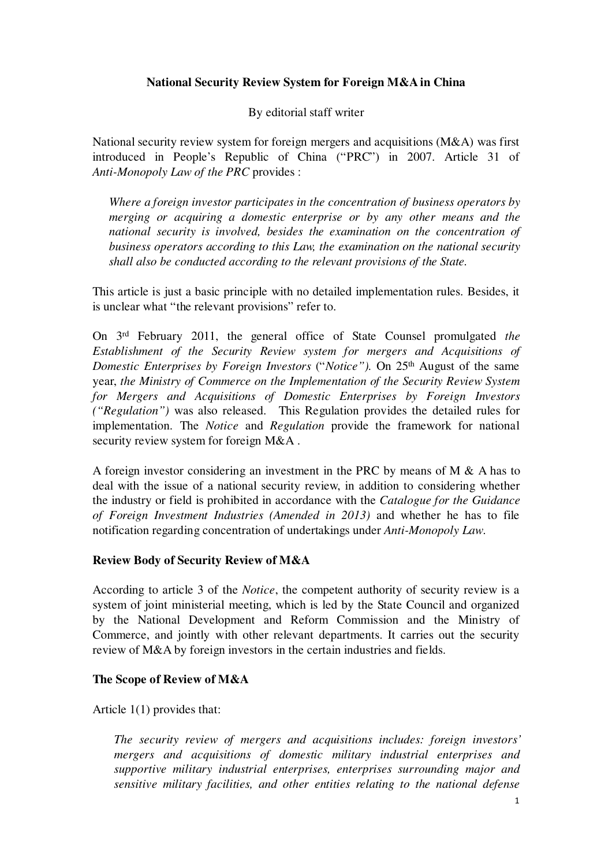# **National Security Review System for Foreign M&A in China**

By editorial staff writer

National security review system for foreign mergers and acquisitions (M&A) was first introduced in People's Republic of China ("PRC") in 2007. Article 31 of *Anti-Monopoly Law of the PRC* provides :

*Where a foreign investor participates in the concentration of business operators by merging or acquiring a domestic enterprise or by any other means and the national security is involved, besides the examination on the concentration of business operators according to this Law, the examination on the national security shall also be conducted according to the relevant provisions of the State.* 

This article is just a basic principle with no detailed implementation rules. Besides, it is unclear what "the relevant provisions" refer to.

On 3rd February 2011, the general office of State Counsel promulgated *the Establishment of the Security Review system for mergers and Acquisitions of Domestic Enterprises by Foreign Investors ("Notice").* On 25<sup>th</sup> August of the same year, *the Ministry of Commerce on the Implementation of the Security Review System for Mergers and Acquisitions of Domestic Enterprises by Foreign Investors ("Regulation")* was also released. This Regulation provides the detailed rules for implementation. The *Notice* and *Regulation* provide the framework for national security review system for foreign M&A.

A foreign investor considering an investment in the PRC by means of M  $\&$  A has to deal with the issue of a national security review, in addition to considering whether the industry or field is prohibited in accordance with the *Catalogue for the Guidance of Foreign Investment Industries (Amended in 2013)* and whether he has to file notification regarding concentration of undertakings under *Anti-Monopoly Law*.

## **Review Body of Security Review of M&A**

According to article 3 of the *Notice*, the competent authority of security review is a system of joint ministerial meeting, which is led by the State Council and organized by the National Development and Reform Commission and the Ministry of Commerce, and jointly with other relevant departments. It carries out the security review of M&A by foreign investors in the certain industries and fields.

## **The Scope of Review of M&A**

Article 1(1) provides that:

*The security review of mergers and acquisitions includes: foreign investors' mergers and acquisitions of domestic military industrial enterprises and supportive military industrial enterprises, enterprises surrounding major and sensitive military facilities, and other entities relating to the national defense*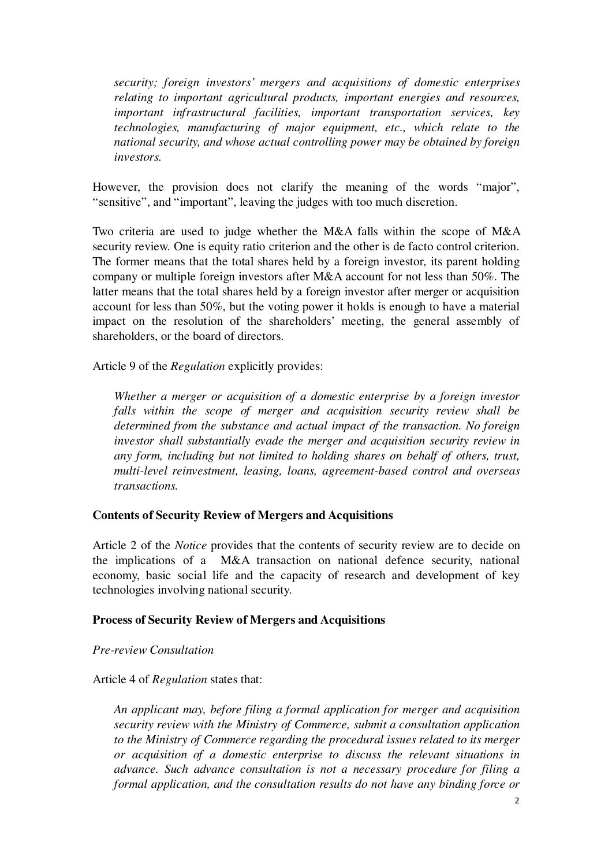*security; foreign investors' mergers and acquisitions of domestic enterprises relating to important agricultural products, important energies and resources, important infrastructural facilities, important transportation services, key technologies, manufacturing of major equipment, etc., which relate to the national security, and whose actual controlling power may be obtained by foreign investors.* 

However, the provision does not clarify the meaning of the words "major", "sensitive", and "important", leaving the judges with too much discretion.

Two criteria are used to judge whether the M&A falls within the scope of M&A security review. One is equity ratio criterion and the other is de facto control criterion. The former means that the total shares held by a foreign investor, its parent holding company or multiple foreign investors after M&A account for not less than 50%. The latter means that the total shares held by a foreign investor after merger or acquisition account for less than 50%, but the voting power it holds is enough to have a material impact on the resolution of the shareholders' meeting, the general assembly of shareholders, or the board of directors.

Article 9 of the *Regulation* explicitly provides:

*Whether a merger or acquisition of a domestic enterprise by a foreign investor falls within the scope of merger and acquisition security review shall be determined from the substance and actual impact of the transaction. No foreign investor shall substantially evade the merger and acquisition security review in any form, including but not limited to holding shares on behalf of others, trust, multi-level reinvestment, leasing, loans, agreement-based control and overseas transactions.* 

#### **Contents of Security Review of Mergers and Acquisitions**

Article 2 of the *Notice* provides that the contents of security review are to decide on the implications of a M&A transaction on national defence security, national economy, basic social life and the capacity of research and development of key technologies involving national security.

#### **Process of Security Review of Mergers and Acquisitions**

*Pre-review Consultation* 

Article 4 of *Regulation* states that:

*An applicant may, before filing a formal application for merger and acquisition security review with the Ministry of Commerce, submit a consultation application to the Ministry of Commerce regarding the procedural issues related to its merger or acquisition of a domestic enterprise to discuss the relevant situations in advance. Such advance consultation is not a necessary procedure for filing a formal application, and the consultation results do not have any binding force or*